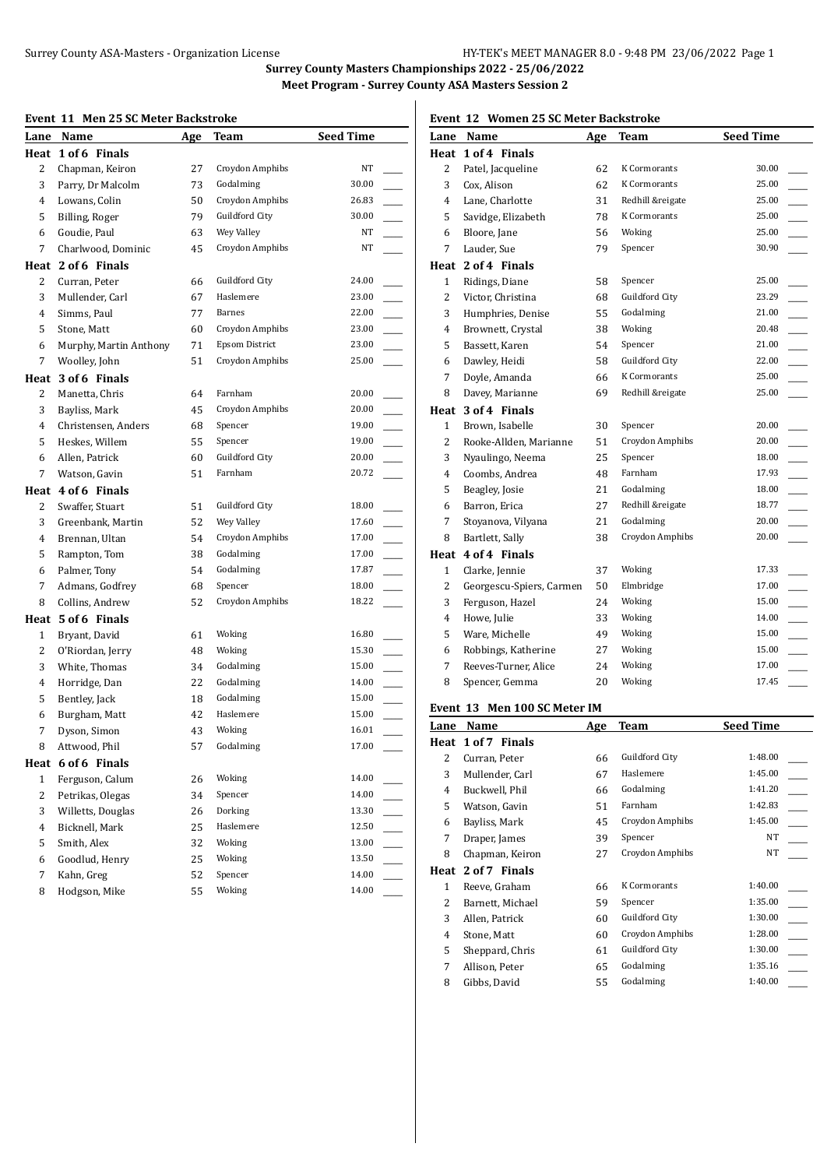### **Event 11 Men 25 SC Meter Backstroke**

| вуень тт       | MEIL 20 SC MEIEL DACKSHUKE |            |                       |                  |
|----------------|----------------------------|------------|-----------------------|------------------|
| Lane           | Name                       | <b>Age</b> | Team                  | <b>Seed Time</b> |
| Heat           | 1 of 6 Finals              |            |                       |                  |
| 2              | Chapman, Keiron            | 27         | Croydon Amphibs       | NT               |
| 3              | Parry, Dr Malcolm          | 73         | Godalming             | 30.00            |
| 4              | Lowans, Colin              | 50         | Croydon Amphibs       | 26.83            |
| 5              | Billing, Roger             | 79         | Guildford City        | 30.00            |
| 6              | Goudie, Paul               | 63         | Wey Valley            | NT               |
| 7              | Charlwood, Dominic         | 45         | Croydon Amphibs       | NT               |
| Heat           | 2 of 6 Finals              |            |                       |                  |
| 2              | Curran, Peter              | 66         | Guildford City        | 24.00            |
| 3              | Mullender, Carl            | 67         | Haslemere             | 23.00            |
| 4              | Simms, Paul                | 77         | <b>Barnes</b>         | 22.00            |
| 5              | Stone, Matt                | 60         | Croydon Amphibs       | 23.00            |
| 6              | Murphy, Martin Anthony     | 71         | <b>Epsom District</b> | 23.00            |
| 7              | Woolley, John              | 51         | Croydon Amphibs       | 25.00            |
| Heat           | 3 of 6 Finals              |            |                       |                  |
| 2              | Manetta, Chris             | 64         | Farnham               | 20.00            |
| 3              | Bayliss, Mark              | 45         | Croydon Amphibs       | 20.00            |
| 4              | Christensen, Anders        | 68         | Spencer               | 19.00            |
| 5              | Heskes, Willem             | 55         | Spencer               | 19.00            |
| 6              | Allen, Patrick             | 60         | Guildford City        | 20.00            |
| 7              | Watson, Gavin              | 51         | Farnham               | 20.72            |
|                | Heat 4 of 6 Finals         |            |                       |                  |
| 2              | Swaffer, Stuart            | 51         | Guildford City        | 18.00            |
| 3              | Greenbank, Martin          | 52         | Wey Valley            | 17.60            |
| 4              | Brennan, Ultan             | 54         | Croydon Amphibs       | 17.00<br>$\sim$  |
| 5              | Rampton, Tom               | 38         | Godalming             | 17.00            |
| 6              | Palmer, Tony               | 54         | Godalming             | 17.87            |
| 7              | Admans, Godfrey            | 68         | Spencer               | 18.00            |
| 8              | Collins, Andrew            | 52         | Croydon Amphibs       | 18.22            |
|                | Heat 5 of 6 Finals         |            |                       |                  |
| 1              | Bryant, David              | 61         | Woking                | 16.80            |
| 2              | O'Riordan, Jerry           | 48         | Woking                | 15.30            |
| 3              | White, Thomas              | 34         | Godalming             | 15.00            |
| 4              | Horridge, Dan              | 22         | Godalming             | 14.00            |
| 5              | Bentley, Jack              | 18         | Godalming             | 15.00            |
| 6              | Burgham, Matt              | 42         | Haslemere             | 15.00            |
| 7              | Dyson, Simon               | 43         | Woking                | 16.01            |
| 8              | Attwood, Phil              | 57         | Godalming             | 17.00            |
| Heat           | 6 of 6 Finals              |            |                       |                  |
| 1              | Ferguson, Calum            | 26         | Woking                | 14.00            |
| 2              | Petrikas, Olegas           | 34         | Spencer               | 14.00            |
| 3              | Willetts, Douglas          | 26         | Dorking               | 13.30            |
| $\overline{4}$ | Bicknell, Mark             | 25         | Haslemere             | 12.50            |
| 5              | Smith, Alex                | 32         | Woking                | 13.00            |
| 6              | Goodlud, Henry             | 25         | Woking                | 13.50            |
| 7              | Kahn, Greg                 | 52         | Spencer               | 14.00            |
| 8              | Hodgson, Mike              | 55         | Woking                | 14.00            |

# **Event 12 Women 25 SC Meter Backstroke**

|                | Lane Name                | Age | <b>Team</b>           | <b>Seed Time</b> |
|----------------|--------------------------|-----|-----------------------|------------------|
|                | Heat 1 of 4 Finals       |     |                       |                  |
| $\overline{2}$ | Patel, Jacqueline        | 62  | K Cormorants          | 30.00            |
| 3              | Cox, Alison              | 62  | K Cormorants          | 25.00            |
| $\overline{4}$ | Lane, Charlotte          | 31  | Redhill &reigate      | 25.00            |
| 5              | Savidge, Elizabeth       | 78  | K Cormorants          | 25.00            |
| 6              | Bloore, Jane             | 56  | Woking                | 25.00            |
| $\overline{7}$ | Lauder, Sue              | 79  | Spencer               | 30.90            |
|                | Heat 2 of 4 Finals       |     |                       |                  |
| $\mathbf{1}$   | Ridings, Diane           | 58  | Spencer               | 25.00            |
| $\overline{c}$ | Victor, Christina        | 68  | <b>Guildford City</b> | 23.29            |
| 3              | Humphries, Denise        | 55  | Godalming             | 21.00            |
| 4              | Brownett, Crystal        | 38  | Woking                | 20.48            |
| 5              | Bassett, Karen           | 54  | Spencer               | 21.00            |
| 6              | Dawley, Heidi            | 58  | Guildford City        | 22.00            |
| $\overline{7}$ | Doyle, Amanda            | 66  | K Cormorants          | 25.00            |
| 8              | Davey, Marianne          | 69  | Redhill &reigate      | 25.00            |
| Heat           | 3 of 4 Finals            |     |                       |                  |
| $\mathbf{1}$   | Brown, Isabelle          | 30  | Spencer               | 20.00            |
| $\overline{c}$ | Rooke-Allden, Marianne   | 51  | Croydon Amphibs       | 20.00            |
| 3              | Nyaulingo, Neema         | 25  | Spencer               | 18.00            |
| 4              | Coombs, Andrea           | 48  | Farnham               | 17.93            |
| 5              | Beagley, Josie           | 21  | Godalming             | 18.00            |
| 6              | Barron, Erica            | 27  | Redhill &reigate      | 18.77            |
| 7              | Stoyanova, Vilyana       | 21  | Godalming             | 20.00            |
| 8              | Bartlett, Sally          | 38  | Croydon Amphibs       | 20.00            |
| Heat           | 4 of 4 Finals            |     |                       |                  |
| 1              | Clarke, Jennie           | 37  | Woking                | 17.33            |
| $\overline{c}$ | Georgescu-Spiers, Carmen | 50  | Elmbridge             | 17.00            |
| 3              | Ferguson, Hazel          | 24  | Woking                | 15.00            |
| 4              | Howe, Julie              | 33  | Woking                | 14.00            |
| 5              | Ware, Michelle           | 49  | Woking                | 15.00            |
| 6              | Robbings, Katherine      | 27  | Woking                | 15.00            |
| 7              | Reeves-Turner, Alice     | 24  | Woking                | 17.00            |
| 8              | Spencer, Gemma           | 20  | Woking                | 17.45            |
|                |                          |     |                       |                  |

### **Event 13 Men 100 SC Meter IM**

| Lane | Name             | Age | Team                | <b>Seed Time</b> |
|------|------------------|-----|---------------------|------------------|
| Heat | 1 of 7 Finals    |     |                     |                  |
| 2    | Curran, Peter    | 66  | Guildford City      | 1:48.00          |
| 3    | Mullender, Carl  | 67  | Haslemere           | 1:45.00          |
| 4    | Buckwell, Phil   | 66  | Godalming           | 1:41.20          |
| 5    | Watson, Gavin    | 51  | Farnham             | 1:42.83          |
| 6    | Bayliss, Mark    | 45  | Croydon Amphibs     | 1:45.00          |
| 7    | Draper, James    | 39  | Spencer             | NT               |
| 8    | Chapman, Keiron  | 27  | Croydon Amphibs     | NT               |
| Heat | 2 of 7 Finals    |     |                     |                  |
| 1    | Reeve, Graham    | 66  | <b>K</b> Cormorants | 1:40.00          |
| 2    | Barnett, Michael | 59  | Spencer             | 1:35.00          |
| 3    | Allen, Patrick   | 60  | Guildford City      | 1:30.00          |
| 4    | Stone, Matt      | 60  | Croydon Amphibs     | 1:28.00          |
| 5    | Sheppard, Chris  | 61  | Guildford City      | 1:30.00          |
| 7    | Allison, Peter   | 65  | Godalming           | 1:35.16          |
| 8    | Gibbs, David     | 55  | Godalming           | 1:40.00          |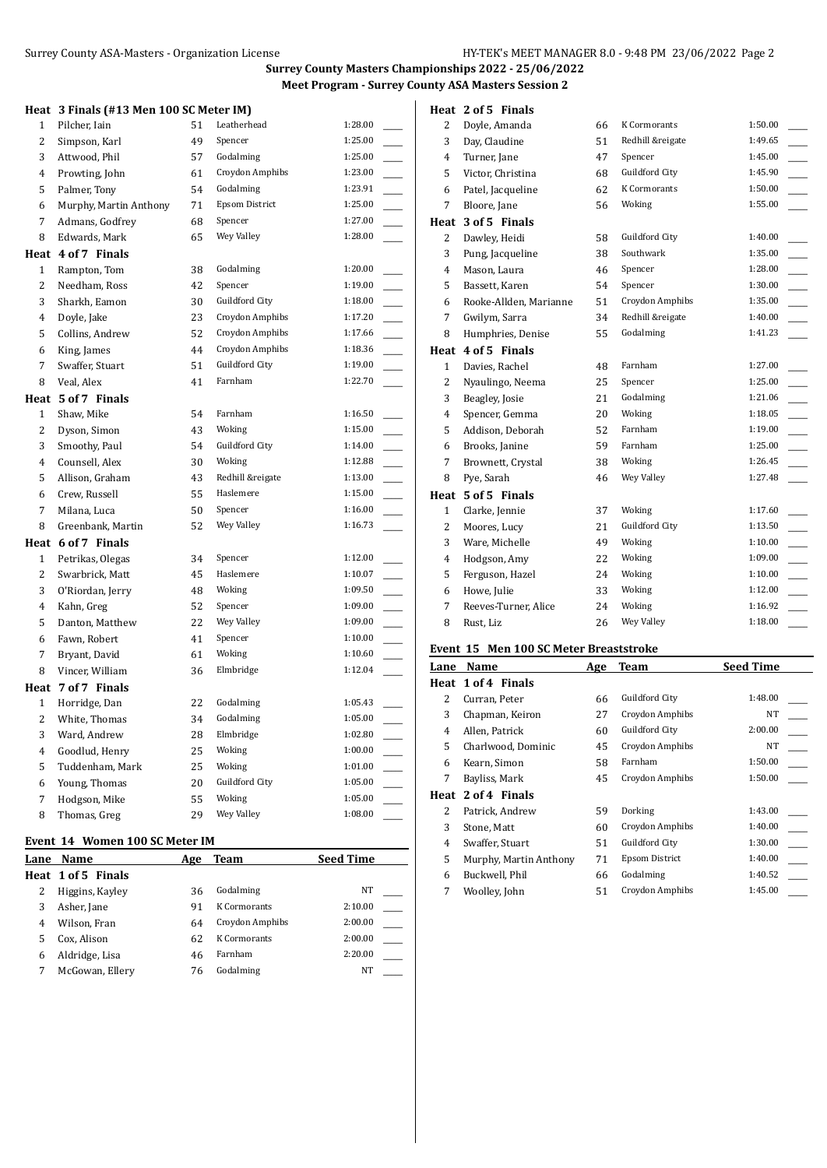#### **Heat 3 Finals (#13 Men 100 SC Meter IM)**

| пеас           | 3 PHIAIS (#13 Men 100 SC Meter IM) |    |                  |         |  |
|----------------|------------------------------------|----|------------------|---------|--|
| 1              | Pilcher, Iain                      | 51 | Leatherhead      | 1:28.00 |  |
| 2              | Simpson, Karl                      | 49 | Spencer          | 1:25.00 |  |
| 3              | Attwood, Phil                      | 57 | Godalming        | 1:25.00 |  |
| 4              | Prowting, John                     | 61 | Croydon Amphibs  | 1:23.00 |  |
| 5              | Palmer, Tony                       | 54 | Godalming        | 1:23.91 |  |
| 6              | Murphy, Martin Anthony             | 71 | Epsom District   | 1:25.00 |  |
| 7              | Admans, Godfrey                    | 68 | Spencer          | 1:27.00 |  |
| 8              | Edwards, Mark                      | 65 | Wey Valley       | 1:28.00 |  |
|                | Heat 4 of 7 Finals                 |    |                  |         |  |
| $\mathbf{1}$   | Rampton, Tom                       | 38 | Godalming        | 1:20.00 |  |
| 2              | Needham, Ross                      | 42 | Spencer          | 1:19.00 |  |
| 3              | Sharkh, Eamon                      | 30 | Guildford City   | 1:18.00 |  |
| $\overline{4}$ | Doyle, Jake                        | 23 | Croydon Amphibs  | 1:17.20 |  |
| 5              | Collins, Andrew                    | 52 | Croydon Amphibs  | 1:17.66 |  |
| 6              | King, James                        | 44 | Croydon Amphibs  | 1:18.36 |  |
| 7              | Swaffer, Stuart                    | 51 | Guildford City   | 1:19.00 |  |
| 8              | Veal, Alex                         | 41 | Farnham          | 1:22.70 |  |
|                | Heat 5 of 7 Finals                 |    |                  |         |  |
| 1              | Shaw, Mike                         | 54 | Farnham          | 1:16.50 |  |
| 2              | Dyson, Simon                       | 43 | Woking           | 1:15.00 |  |
| 3              | Smoothy, Paul                      | 54 | Guildford City   | 1:14.00 |  |
| $\overline{4}$ | Counsell, Alex                     | 30 | Woking           | 1:12.88 |  |
| 5              | Allison, Graham                    | 43 | Redhill &reigate | 1:13.00 |  |
| 6              | Crew, Russell                      | 55 | Haslemere        | 1:15.00 |  |
| 7              | Milana, Luca                       | 50 | Spencer          | 1:16.00 |  |
| 8              | Greenbank, Martin                  | 52 | Wey Valley       | 1:16.73 |  |
|                | Heat 6 of 7 Finals                 |    |                  |         |  |
| $\mathbf{1}$   | Petrikas, Olegas                   | 34 | Spencer          | 1:12.00 |  |
| 2              | Swarbrick, Matt                    | 45 | Haslemere        | 1:10.07 |  |
| 3              | O'Riordan, Jerry                   | 48 | Woking           | 1:09.50 |  |
| 4              | Kahn, Greg                         | 52 | Spencer          | 1:09.00 |  |
| 5              | Danton, Matthew                    | 22 | Wey Valley       | 1:09.00 |  |
| 6              | Fawn, Robert                       | 41 | Spencer          | 1:10.00 |  |
| 7              | Bryant, David                      | 61 | Woking           | 1:10.60 |  |
| 8              | Vincer, William                    | 36 | Elmbridge        | 1:12.04 |  |
|                | Heat 7 of 7 Finals                 |    |                  |         |  |
| $\mathbf{1}$   | Horridge, Dan                      | 22 | Godalming        | 1:05.43 |  |
| 2              | White, Thomas                      | 34 | Godalming        | 1:05.00 |  |
| 3              | Ward, Andrew                       | 28 | Elmbridge        | 1:02.80 |  |
| 4              | Goodlud, Henry                     | 25 | Woking           | 1:00.00 |  |
| 5              | Tuddenham, Mark                    | 25 | Woking           | 1:01.00 |  |
| 6              | Young, Thomas                      | 20 | Guildford City   | 1:05.00 |  |
| 7              | Hodgson, Mike                      | 55 | Woking           | 1:05.00 |  |
| 8              | Thomas, Greg                       | 29 | Wey Valley       | 1:08.00 |  |

### **Event 14 Women 100 SC Meter IM**

| Name               | Age | Team                | <b>Seed Time</b> |  |
|--------------------|-----|---------------------|------------------|--|
| Heat 1 of 5 Finals |     |                     |                  |  |
| Higgins, Kayley    | 36  | Godalming           | NT               |  |
| Asher, Jane        | 91  | <b>K</b> Cormorants | 2:10.00          |  |
| Wilson, Fran       | 64  | Croydon Amphibs     | 2:00.00          |  |
| Cox, Alison        | 62  | <b>K</b> Cormorants | 2:00.00          |  |
| Aldridge, Lisa     | 46  | Farnham             | 2:20.00          |  |
| McGowan, Ellery    | 76  | Godalming           | <b>NT</b>        |  |
|                    |     |                     |                  |  |

## **Heat 2 of 5 Finals**

| 2              | Doyle, Amanda          | 66 | <b>K</b> Cormorants | 1:50.00 |
|----------------|------------------------|----|---------------------|---------|
| 3              | Day, Claudine          | 51 | Redhill &reigate    | 1:49.65 |
| $\overline{4}$ | Turner, Jane           | 47 | Spencer             | 1:45.00 |
| 5              | Victor, Christina      | 68 | Guildford City      | 1:45.90 |
| 6              | Patel, Jacqueline      | 62 | <b>K</b> Cormorants | 1:50.00 |
| 7              | Bloore, Jane           | 56 | Woking              | 1:55.00 |
| Heat           | 3 of 5 Finals          |    |                     |         |
| 2              | Dawley, Heidi          | 58 | Guildford City      | 1:40.00 |
| 3              | Pung, Jacqueline       | 38 | Southwark           | 1:35.00 |
| 4              | Mason, Laura           | 46 | Spencer             | 1:28.00 |
| 5              | Bassett, Karen         | 54 | Spencer             | 1:30.00 |
| 6              | Rooke-Allden, Marianne | 51 | Croydon Amphibs     | 1:35.00 |
| 7              | Gwilym, Sarra          | 34 | Redhill &reigate    | 1:40.00 |
| 8              | Humphries, Denise      | 55 | Godalming           | 1:41.23 |
|                | Heat 4 of 5 Finals     |    |                     |         |
| $\mathbf{1}$   | Davies, Rachel         | 48 | Farnham             | 1:27.00 |
| 2              | Nyaulingo, Neema       | 25 | Spencer             | 1:25.00 |
| 3              | Beagley, Josie         | 21 | Godalming           | 1:21.06 |
| 4              | Spencer, Gemma         | 20 | Woking              | 1:18.05 |
| 5              | Addison, Deborah       | 52 | Farnham             | 1:19.00 |
| 6              | Brooks, Janine         | 59 | Farnham             | 1:25.00 |
| 7              | Brownett, Crystal      | 38 | Woking              | 1:26.45 |
| 8              | Pye, Sarah             | 46 | Wey Valley          | 1:27.48 |
| Heat           | 5 of 5 Finals          |    |                     |         |
| $\mathbf{1}$   | Clarke, Jennie         | 37 | Woking              | 1:17.60 |
| $\overline{2}$ | Moores, Lucy           | 21 | Guildford City      | 1:13.50 |
| 3              | Ware, Michelle         | 49 | Woking              | 1:10.00 |
| $\overline{4}$ | Hodgson, Amy           | 22 | Woking              | 1:09.00 |
| 5              | Ferguson, Hazel        | 24 | Woking              | 1:10.00 |
| 6              | Howe, Julie            | 33 | Woking              | 1:12.00 |
| 7              | Reeves-Turner, Alice   | 24 | Woking              | 1:16.92 |
| 8              | Rust, Liz              | 26 | Wey Valley          | 1:18.00 |
|                |                        |    |                     |         |

# **Event 15 Men 100 SC Meter Breaststroke**

| Lane | Name                   | Age | <b>Team</b>     | <b>Seed Time</b> |
|------|------------------------|-----|-----------------|------------------|
|      | Heat 1 of 4 Finals     |     |                 |                  |
| 2    | Curran, Peter          | 66  | Guildford City  | 1:48.00          |
| 3    | Chapman, Keiron        | 27  | Croydon Amphibs | NT               |
| 4    | Allen, Patrick         | 60  | Guildford City  | 2:00.00          |
| 5    | Charlwood, Dominic     | 45  | Croydon Amphibs | NT               |
| 6    | Kearn, Simon           | 58  | Farnham         | 1:50.00          |
| 7    | Bayliss, Mark          | 45  | Croydon Amphibs | 1:50.00          |
| Heat | 2 of 4 Finals          |     |                 |                  |
| 2    | Patrick, Andrew        | 59  | Dorking         | 1:43.00          |
| 3    | Stone, Matt            | 60  | Croydon Amphibs | 1:40.00          |
| 4    | Swaffer, Stuart        | 51  | Guildford City  | 1:30.00          |
| 5    | Murphy, Martin Anthony | 71  | Epsom District  | 1:40.00          |
| 6    | Buckwell, Phil         | 66  | Godalming       | 1:40.52          |
| 7    | Woolley, John          | 51  | Croydon Amphibs | 1:45.00          |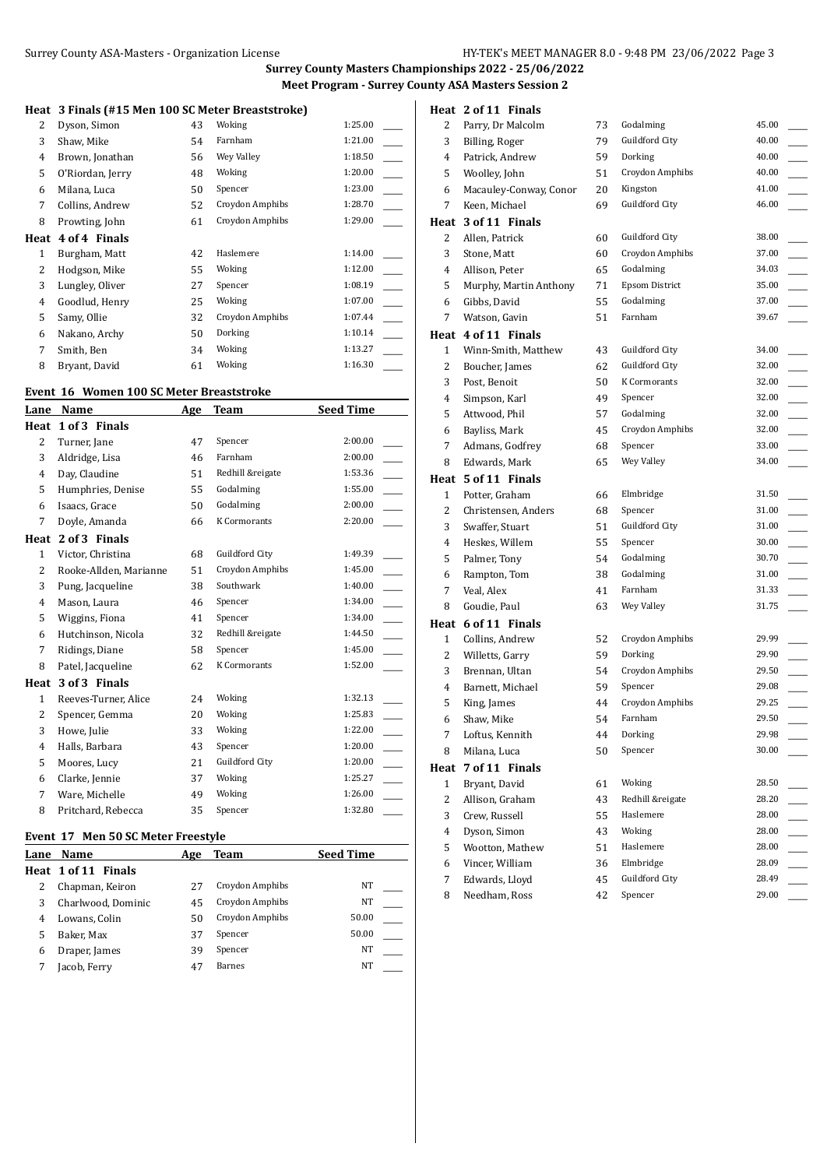### **Heat 3 Finals (#15 Men 100 SC Meter Breaststroke)**

| 2 | Dyson, Simon       | 43 | Woking          | 1:25.00 |
|---|--------------------|----|-----------------|---------|
| 3 | Shaw, Mike         | 54 | Farnham         | 1:21.00 |
| 4 | Brown, Jonathan    | 56 | Wey Valley      | 1:18.50 |
| 5 | O'Riordan, Jerry   | 48 | Woking          | 1:20.00 |
| 6 | Milana, Luca       | 50 | Spencer         | 1:23.00 |
| 7 | Collins, Andrew    | 52 | Croydon Amphibs | 1:28.70 |
| 8 | Prowting, John     | 61 | Croydon Amphibs | 1:29.00 |
|   | Heat 4 of 4 Finals |    |                 |         |
| 1 | Burgham, Matt      | 42 | Haslemere       | 1:14.00 |
| 2 | Hodgson, Mike      | 55 | Woking          | 1:12.00 |
| 3 | Lungley, Oliver    | 27 | Spencer         | 1:08.19 |
| 4 | Goodlud, Henry     | 25 | Woking          | 1:07.00 |
| 5 | Samy, Ollie        | 32 | Croydon Amphibs | 1:07.44 |
| 6 | Nakano, Archy      | 50 | Dorking         | 1:10.14 |
| 7 | Smith, Ben         | 34 | Woking          | 1:13.27 |
| 8 | Bryant, David      | 61 | Woking          | 1:16.30 |

## **Event 16 Women 100 SC Meter Breaststroke**

| Lane           | Name                   | <u>Age</u> | Team             | <b>Seed Time</b> |
|----------------|------------------------|------------|------------------|------------------|
| Heat           | 1 of 3 Finals          |            |                  |                  |
| $\overline{2}$ | Turner, Jane           | 47         | Spencer          | 2:00.00          |
| 3              | Aldridge, Lisa         | 46         | Farnham          | 2:00.00          |
| 4              | Day, Claudine          | 51         | Redhill &reigate | 1:53.36          |
| 5              | Humphries, Denise      | 55         | Godalming        | 1:55.00          |
| 6              | Isaacs, Grace          | 50         | Godalming        | 2:00.00          |
| 7              | Doyle, Amanda          | 66         | K Cormorants     | 2:20.00          |
| Heat           | 2 of 3 Finals          |            |                  |                  |
| $\mathbf{1}$   | Victor, Christina      | 68         | Guildford City   | 1:49.39          |
| $\overline{c}$ | Rooke-Allden, Marianne | 51         | Croydon Amphibs  | 1:45.00          |
| 3              | Pung, Jacqueline       | 38         | Southwark        | 1:40.00          |
| 4              | Mason, Laura           | 46         | Spencer          | 1:34.00          |
| 5              | Wiggins, Fiona         | 41         | Spencer          | 1:34.00          |
| 6              | Hutchinson, Nicola     | 32         | Redhill &reigate | 1:44.50          |
| 7              | Ridings, Diane         | 58         | Spencer          | 1:45.00          |
| 8              | Patel, Jacqueline      | 62         | K Cormorants     | 1:52.00          |
| Heat           | 3 of 3 Finals          |            |                  |                  |
| $\mathbf{1}$   | Reeves-Turner, Alice   | 24         | Woking           | 1:32.13          |
| 2              | Spencer, Gemma         | 20         | Woking           | 1:25.83          |
| 3              | Howe, Julie            | 33         | Woking           | 1:22.00          |
| 4              | Halls, Barbara         | 43         | Spencer          | 1:20.00          |
| 5              | Moores, Lucy           | 21         | Guildford City   | 1:20.00          |
| 6              | Clarke, Jennie         | 37         | Woking           | 1:25.27          |
| 7              | Ware, Michelle         | 49         | Woking           | 1:26.00          |
| 8              | Pritchard, Rebecca     | 35         | Spencer          | 1:32.80          |

## **Event 17 Men 50 SC Meter Freestyle**

### **Heat 2 of 11 Finals**

| 2            | Parry, Dr Malcolm      | 73 | Godalming             | 45.00          |
|--------------|------------------------|----|-----------------------|----------------|
| 3            | Billing, Roger         | 79 | Guildford City        | 40.00          |
| 4            | Patrick, Andrew        | 59 | Dorking               | 40.00          |
| 5            | Woolley, John          | 51 | Croydon Amphibs       | 40.00          |
| 6            | Macauley-Conway, Conor | 20 | Kingston              | 41.00          |
| 7            | Keen, Michael          | 69 | Guildford City        | 46.00          |
|              | Heat 3 of 11 Finals    |    |                       |                |
| 2            | Allen, Patrick         | 60 | Guildford City        | 38.00          |
| 3            | Stone, Matt            | 60 | Croydon Amphibs       | 37.00          |
| 4            | Allison, Peter         | 65 | Godalming             | 34.03          |
| 5            | Murphy, Martin Anthony | 71 | <b>Epsom District</b> | 35.00          |
| 6            | Gibbs, David           | 55 | Godalming             | 37.00          |
| 7            | Watson, Gavin          | 51 | Farnham               | 39.67          |
|              | Heat 4 of 11 Finals    |    |                       |                |
| 1            | Winn-Smith, Matthew    | 43 | Guildford City        | 34.00          |
| 2            | Boucher, James         | 62 | Guildford City        | 32.00          |
| 3            | Post, Benoit           | 50 | K Cormorants          | 32.00          |
| 4            | Simpson, Karl          | 49 | Spencer               | 32.00          |
| 5            | Attwood, Phil          | 57 | Godalming             | 32.00          |
| 6            | Bayliss, Mark          | 45 | Croydon Amphibs       | 32.00          |
| 7            | Admans, Godfrey        | 68 | Spencer               | 33.00          |
| 8            | Edwards, Mark          | 65 | Wey Valley            | 34.00          |
|              | Heat 5 of 11 Finals    |    |                       |                |
| 1            | Potter, Graham         | 66 | Elmbridge             | 31.50          |
| 2            | Christensen, Anders    | 68 | Spencer               | 31.00          |
| 3            | Swaffer, Stuart        | 51 | Guildford City        | 31.00          |
| 4            | Heskes, Willem         | 55 | Spencer               | 30.00          |
| 5            | Palmer, Tony           | 54 | Godalming             | 30.70          |
| 6            | Rampton, Tom           | 38 | Godalming             | 31.00          |
| 7            | Veal, Alex             | 41 | Farnham               | 31.33          |
| 8            | Goudie, Paul           | 63 | Wey Valley            | 31.75          |
|              | Heat 6 of 11 Finals    |    |                       |                |
| $\mathbf{1}$ | Collins, Andrew        | 52 | Croydon Amphibs       | 29.99          |
| 2            | Willetts, Garry        | 59 | Dorking               | 29.90          |
| 3            | Brennan, Ultan         | 54 | Croydon Amphibs       | 29.50          |
| 4            | Barnett, Michael       | 59 | Spencer               | 29.08          |
| 5            | King, James            | 44 | Croydon Amphibs       | 29.25          |
| 6            | Shaw, Mike             | 54 | Farnham               | 29.50          |
| 7            | Loftus, Kennith        | 44 | Dorking               | 29.98          |
| 8            | Milana, Luca           | 50 | Spencer               | 30.00          |
| Heat         | 7 of 11 Finals         |    |                       |                |
| $\mathbf{1}$ | Bryant, David          | 61 | Woking                | 28.50          |
| 2            | Allison, Graham        | 43 | Redhill &reigate      | 28.20          |
| 3            | Crew, Russell          | 55 | Haslemere             | 28.00          |
| 4            | Dyson, Simon           | 43 | Woking                | 28.00          |
| 5            | Wootton, Mathew        | 51 | Haslemere             | 28.00          |
| 6            | Vincer, William        | 36 | Elmbridge             | 28.09          |
| 7            | Edwards, Lloyd         | 45 | Guildford City        | 28.49<br>29.00 |
| 8            | Needham, Ross          | 42 | Spencer               |                |